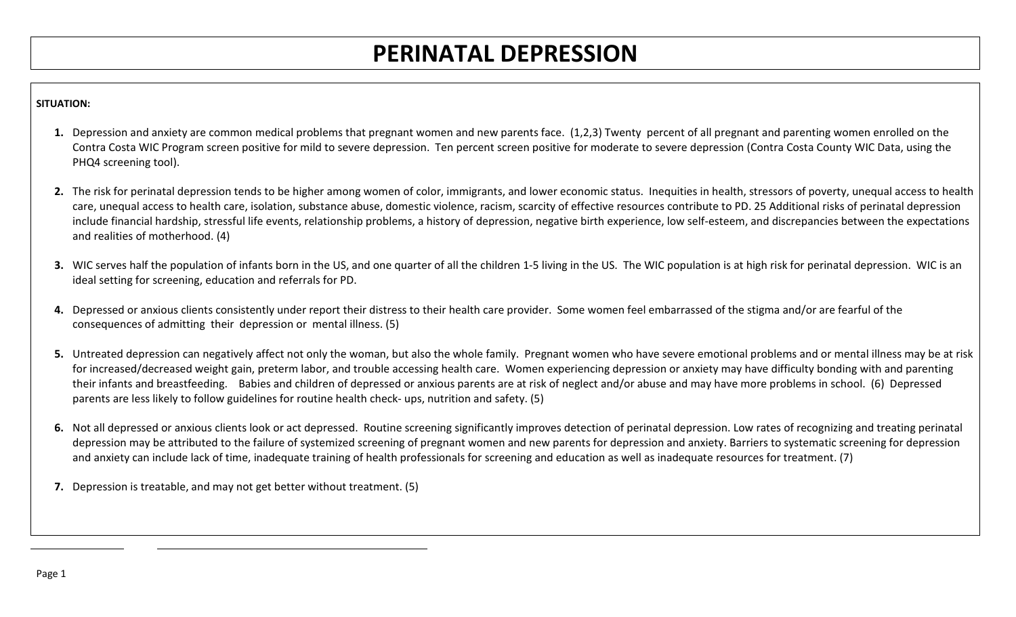## **PERINATAL DEPRESSION**

## **SITUATION:**

- **1.** Depression and anxiety are common medical problems that pregnant women and new parents face. (1,2,3) Twenty percent of all pregnant and parenting women enrolled on the Contra Costa WIC Program screen positive for mild to severe depression. Ten percent screen positive for moderate to severe depression (Contra Costa County WIC Data, using the PHQ4 screening tool).
- 2. The risk for perinatal depression tends to be higher among women of color, immigrants, and lower economic status. Inequities in health, stressors of poverty, unequal access to health care, unequal access to health care, isolation, substance abuse, domestic violence, racism, scarcity of effective resources contribute to PD. 25 Additional risks of perinatal depression include financial hardship, stressful life events, relationship problems, a history of depression, negative birth experience, low self-esteem, and discrepancies between the expectations and realities of motherhood. (4)
- **3.** WIC serves half the population of infants born in the US, and one quarter of all the children 1-5 living in the US. The WIC population is at high risk for perinatal depression. WIC is an ideal setting for screening, education and referrals for PD.
- **4.** Depressed or anxious clients consistently under report their distress to their health care provider. Some women feel embarrassed of the stigma and/or are fearful of the consequences of admitting their depression or mental illness. (5)
- **5.** Untreated depression can negatively affect not only the woman, but also the whole family. Pregnant women who have severe emotional problems and or mental illness may be at risk for increased/decreased weight gain, preterm labor, and trouble accessing health care. Women experiencing depression or anxiety may have difficulty bonding with and parenting their infants and breastfeeding. Babies and children of depressed or anxious parents are at risk of neglect and/or abuse and may have more problems in school. (6) Depressed parents are less likely to follow guidelines for routine health check- ups, nutrition and safety. (5)
- **6.** Not all depressed or anxious clients look or act depressed. Routine screening significantly improves detection of perinatal depression. Low rates of recognizing and treating perinatal depression may be attributed to the failure of systemized screening of pregnant women and new parents for depression and anxiety. Barriers to systematic screening for depression and anxiety can include lack of time, inadequate training of health professionals for screening and education as well as inadequate resources for treatment. (7)
- **7.** Depression is treatable, and may not get better without treatment. (5)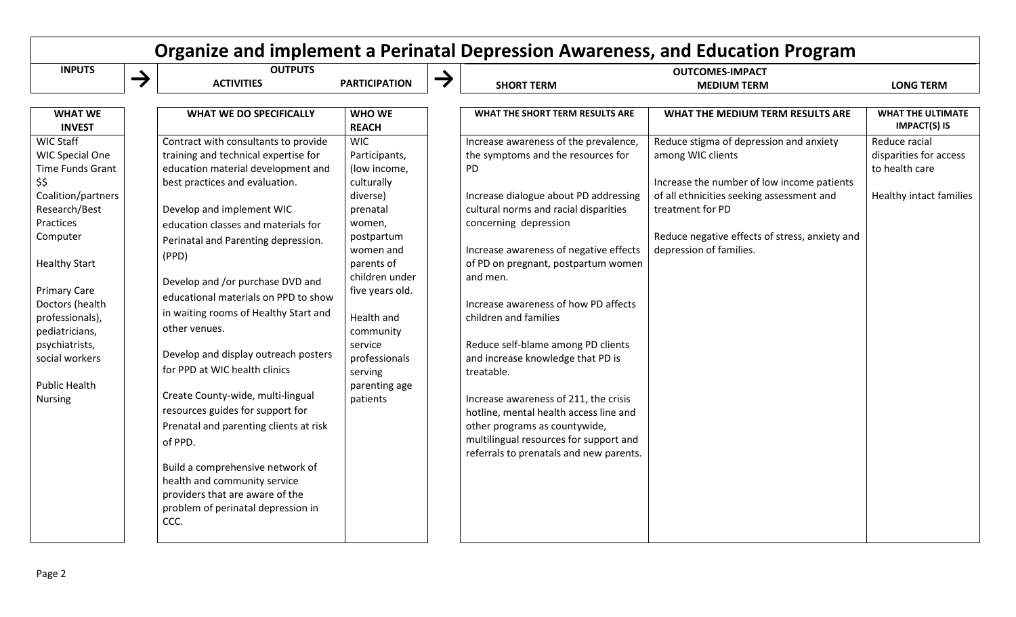| Organize and implement a Perinatal Depression Awareness, and Education Program                                                                                                                                                                                                                                              |               |                                                                                                                                                                                                                                                                                                                                                                                                                                                                                                                                                                                                                                                                                                                                                                            |                                                                                                                                                                                                                                                                          |               |                                                                                                                                                                                                                                                                                                                                                                                                                                                                                                                                                                                                                                                              |                                                                                                                                                                                                                                                          |                                                                                      |
|-----------------------------------------------------------------------------------------------------------------------------------------------------------------------------------------------------------------------------------------------------------------------------------------------------------------------------|---------------|----------------------------------------------------------------------------------------------------------------------------------------------------------------------------------------------------------------------------------------------------------------------------------------------------------------------------------------------------------------------------------------------------------------------------------------------------------------------------------------------------------------------------------------------------------------------------------------------------------------------------------------------------------------------------------------------------------------------------------------------------------------------------|--------------------------------------------------------------------------------------------------------------------------------------------------------------------------------------------------------------------------------------------------------------------------|---------------|--------------------------------------------------------------------------------------------------------------------------------------------------------------------------------------------------------------------------------------------------------------------------------------------------------------------------------------------------------------------------------------------------------------------------------------------------------------------------------------------------------------------------------------------------------------------------------------------------------------------------------------------------------------|----------------------------------------------------------------------------------------------------------------------------------------------------------------------------------------------------------------------------------------------------------|--------------------------------------------------------------------------------------|
| <b>INPUTS</b>                                                                                                                                                                                                                                                                                                               | $\rightarrow$ | <b>OUTPUTS</b><br><b>ACTIVITIES</b>                                                                                                                                                                                                                                                                                                                                                                                                                                                                                                                                                                                                                                                                                                                                        | <b>PARTICIPATION</b>                                                                                                                                                                                                                                                     | $\rightarrow$ | <b>SHORT TERM</b>                                                                                                                                                                                                                                                                                                                                                                                                                                                                                                                                                                                                                                            | <b>OUTCOMES-IMPACT</b><br><b>MEDIUM TERM</b>                                                                                                                                                                                                             | <b>LONG TERM</b>                                                                     |
| <b>WHAT WE</b><br><b>INVEST</b>                                                                                                                                                                                                                                                                                             |               | <b>WHAT WE DO SPECIFICALLY</b>                                                                                                                                                                                                                                                                                                                                                                                                                                                                                                                                                                                                                                                                                                                                             | <b>WHO WE</b><br><b>REACH</b>                                                                                                                                                                                                                                            |               | WHAT THE SHORT TERM RESULTS ARE                                                                                                                                                                                                                                                                                                                                                                                                                                                                                                                                                                                                                              | WHAT THE MEDIUM TERM RESULTS ARE                                                                                                                                                                                                                         | <b>WHAT THE ULTIMATE</b><br><b>IMPACT(S) IS</b>                                      |
| <b>WIC Staff</b><br><b>WIC Special One</b><br>Time Funds Grant<br>\$\$<br>Coalition/partners<br>Research/Best<br>Practices<br>Computer<br><b>Healthy Start</b><br><b>Primary Care</b><br>Doctors (health<br>professionals),<br>pediatricians,<br>psychiatrists,<br>social workers<br><b>Public Health</b><br><b>Nursing</b> |               | Contract with consultants to provide<br>training and technical expertise for<br>education material development and<br>best practices and evaluation.<br>Develop and implement WIC<br>education classes and materials for<br>Perinatal and Parenting depression.<br>(PPD)<br>Develop and /or purchase DVD and<br>educational materials on PPD to show<br>in waiting rooms of Healthy Start and<br>other venues.<br>Develop and display outreach posters<br>for PPD at WIC health clinics<br>Create County-wide, multi-lingual<br>resources guides for support for<br>Prenatal and parenting clients at risk<br>of PPD.<br>Build a comprehensive network of<br>health and community service<br>providers that are aware of the<br>problem of perinatal depression in<br>CCC. | <b>WIC</b><br>Participants,<br>(low income,<br>culturally<br>diverse)<br>prenatal<br>women,<br>postpartum<br>women and<br>parents of<br>children under<br>five years old.<br>Health and<br>community<br>service<br>professionals<br>serving<br>parenting age<br>patients |               | Increase awareness of the prevalence,<br>the symptoms and the resources for<br>PD<br>Increase dialogue about PD addressing<br>cultural norms and racial disparities<br>concerning depression<br>Increase awareness of negative effects<br>of PD on pregnant, postpartum women<br>and men.<br>Increase awareness of how PD affects<br>children and families<br>Reduce self-blame among PD clients<br>and increase knowledge that PD is<br>treatable.<br>Increase awareness of 211, the crisis<br>hotline, mental health access line and<br>other programs as countywide,<br>multilingual resources for support and<br>referrals to prenatals and new parents. | Reduce stigma of depression and anxiety<br>among WIC clients<br>Increase the number of low income patients<br>of all ethnicities seeking assessment and<br>treatment for PD<br>Reduce negative effects of stress, anxiety and<br>depression of families. | Reduce racial<br>disparities for access<br>to health care<br>Healthy intact families |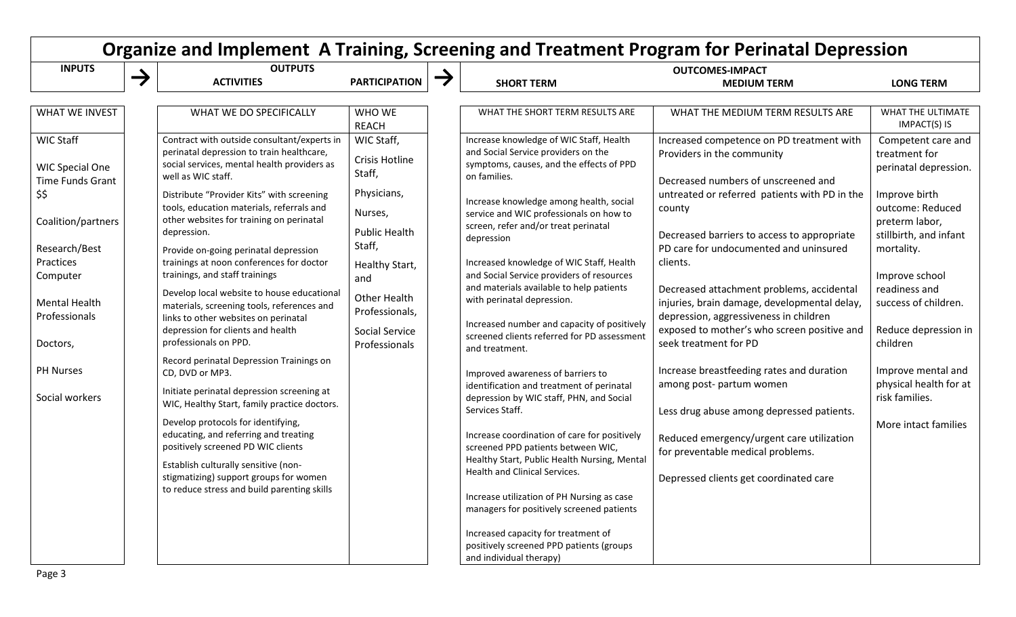| <b>INPUTS</b>                                                                                                                                                                               |   | <b>OUTPUTS</b>                                                                                                                                                                                                                                                                                                                                                      |                                                                                                                                                                                                                                                                                                                                                                                                                                                                                                                                                                                                                                                                                         |                                                                                                                                                                                                                       |                                                                                                                                                                                                                                                                                                                                                                                                                                                                                                                               | Organize and Implement A Training, Screening and Treatment Program for Perinatal Depression<br><b>OUTCOMES-IMPACT</b>                                                                                                                                                                                                                                                                                                                                                                                                                                                     |                                                                                                                                                                                                                                                                                                                                                                                                                                                                                               |                                                                                                                                                                                                                                                            |
|---------------------------------------------------------------------------------------------------------------------------------------------------------------------------------------------|---|---------------------------------------------------------------------------------------------------------------------------------------------------------------------------------------------------------------------------------------------------------------------------------------------------------------------------------------------------------------------|-----------------------------------------------------------------------------------------------------------------------------------------------------------------------------------------------------------------------------------------------------------------------------------------------------------------------------------------------------------------------------------------------------------------------------------------------------------------------------------------------------------------------------------------------------------------------------------------------------------------------------------------------------------------------------------------|-----------------------------------------------------------------------------------------------------------------------------------------------------------------------------------------------------------------------|-------------------------------------------------------------------------------------------------------------------------------------------------------------------------------------------------------------------------------------------------------------------------------------------------------------------------------------------------------------------------------------------------------------------------------------------------------------------------------------------------------------------------------|---------------------------------------------------------------------------------------------------------------------------------------------------------------------------------------------------------------------------------------------------------------------------------------------------------------------------------------------------------------------------------------------------------------------------------------------------------------------------------------------------------------------------------------------------------------------------|-----------------------------------------------------------------------------------------------------------------------------------------------------------------------------------------------------------------------------------------------------------------------------------------------------------------------------------------------------------------------------------------------------------------------------------------------------------------------------------------------|------------------------------------------------------------------------------------------------------------------------------------------------------------------------------------------------------------------------------------------------------------|
|                                                                                                                                                                                             | → | <b>ACTIVITIES</b>                                                                                                                                                                                                                                                                                                                                                   | <b>PARTICIPATION</b>                                                                                                                                                                                                                                                                                                                                                                                                                                                                                                                                                                                                                                                                    | $\rightarrow$                                                                                                                                                                                                         | <b>SHORT TERM</b>                                                                                                                                                                                                                                                                                                                                                                                                                                                                                                             | <b>MEDIUM TERM</b>                                                                                                                                                                                                                                                                                                                                                                                                                                                                                                                                                        | <b>LONG TERM</b>                                                                                                                                                                                                                                                                                                                                                                                                                                                                              |                                                                                                                                                                                                                                                            |
| <b>WHAT WE INVEST</b>                                                                                                                                                                       |   | WHAT WE DO SPECIFICALLY                                                                                                                                                                                                                                                                                                                                             | WHO WE<br><b>REACH</b>                                                                                                                                                                                                                                                                                                                                                                                                                                                                                                                                                                                                                                                                  |                                                                                                                                                                                                                       | WHAT THE SHORT TERM RESULTS ARE                                                                                                                                                                                                                                                                                                                                                                                                                                                                                               | WHAT THE MEDIUM TERM RESULTS ARE                                                                                                                                                                                                                                                                                                                                                                                                                                                                                                                                          | WHAT THE ULTIMATE<br>IMPACT(S) IS                                                                                                                                                                                                                                                                                                                                                                                                                                                             |                                                                                                                                                                                                                                                            |
| <b>WIC Staff</b><br><b>WIC Special One</b><br>Time Funds Grant<br>\$\$<br>Coalition/partners<br>Research/Best<br>Practices<br>Computer<br><b>Mental Health</b><br>Professionals<br>Doctors, |   |                                                                                                                                                                                                                                                                                                                                                                     | Contract with outside consultant/experts in<br>perinatal depression to train healthcare,<br>social services, mental health providers as<br>well as WIC staff.<br>Distribute "Provider Kits" with screening<br>tools, education materials, referrals and<br>other websites for training on perinatal<br>depression.<br>Provide on-going perinatal depression<br>trainings at noon conferences for doctor<br>trainings, and staff trainings<br>Develop local website to house educational<br>materials, screening tools, references and<br>links to other websites on perinatal<br>depression for clients and health<br>professionals on PPD.<br>Record perinatal Depression Trainings on | WIC Staff,<br><b>Crisis Hotline</b><br>Staff,<br>Physicians,<br>Nurses,<br><b>Public Health</b><br>Staff,<br>Healthy Start,<br>and<br><b>Other Health</b><br>Professionals,<br><b>Social Service</b><br>Professionals |                                                                                                                                                                                                                                                                                                                                                                                                                                                                                                                               | Increase knowledge of WIC Staff, Health<br>and Social Service providers on the<br>symptoms, causes, and the effects of PPD<br>on families.<br>Increase knowledge among health, social<br>service and WIC professionals on how to<br>screen, refer and/or treat perinatal<br>depression<br>Increased knowledge of WIC Staff, Health<br>and Social Service providers of resources<br>and materials available to help patients<br>with perinatal depression.<br>Increased number and capacity of positively<br>screened clients referred for PD assessment<br>and treatment. | Increased competence on PD treatment with<br>Providers in the community<br>Decreased numbers of unscreened and<br>untreated or referred patients with PD in the<br>county<br>Decreased barriers to access to appropriate<br>PD care for undocumented and uninsured<br>clients.<br>Decreased attachment problems, accidental<br>injuries, brain damage, developmental delay,<br>depression, aggressiveness in children<br>exposed to mother's who screen positive and<br>seek treatment for PD | Competent care and<br>treatment for<br>perinatal depression.<br>Improve birth<br>outcome: Reduced<br>preterm labor,<br>stillbirth, and infant<br>mortality.<br>Improve school<br>readiness and<br>success of children.<br>Reduce depression in<br>children |
| <b>PH Nurses</b><br>Social workers                                                                                                                                                          |   | CD, DVD or MP3.<br>Initiate perinatal depression screening at<br>WIC, Healthy Start, family practice doctors.<br>Develop protocols for identifying,<br>educating, and referring and treating<br>positively screened PD WIC clients<br>Establish culturally sensitive (non-<br>stigmatizing) support groups for women<br>to reduce stress and build parenting skills |                                                                                                                                                                                                                                                                                                                                                                                                                                                                                                                                                                                                                                                                                         |                                                                                                                                                                                                                       | Improved awareness of barriers to<br>identification and treatment of perinatal<br>depression by WIC staff, PHN, and Social<br>Services Staff.<br>Increase coordination of care for positively<br>screened PPD patients between WIC,<br>Healthy Start, Public Health Nursing, Mental<br>Health and Clinical Services.<br>Increase utilization of PH Nursing as case<br>managers for positively screened patients<br>Increased capacity for treatment of<br>positively screened PPD patients (groups<br>and individual therapy) | Increase breastfeeding rates and duration<br>among post- partum women<br>Less drug abuse among depressed patients.<br>Reduced emergency/urgent care utilization<br>for preventable medical problems.<br>Depressed clients get coordinated care                                                                                                                                                                                                                                                                                                                            | Improve mental and<br>physical health for at<br>risk families.<br>More intact families                                                                                                                                                                                                                                                                                                                                                                                                        |                                                                                                                                                                                                                                                            |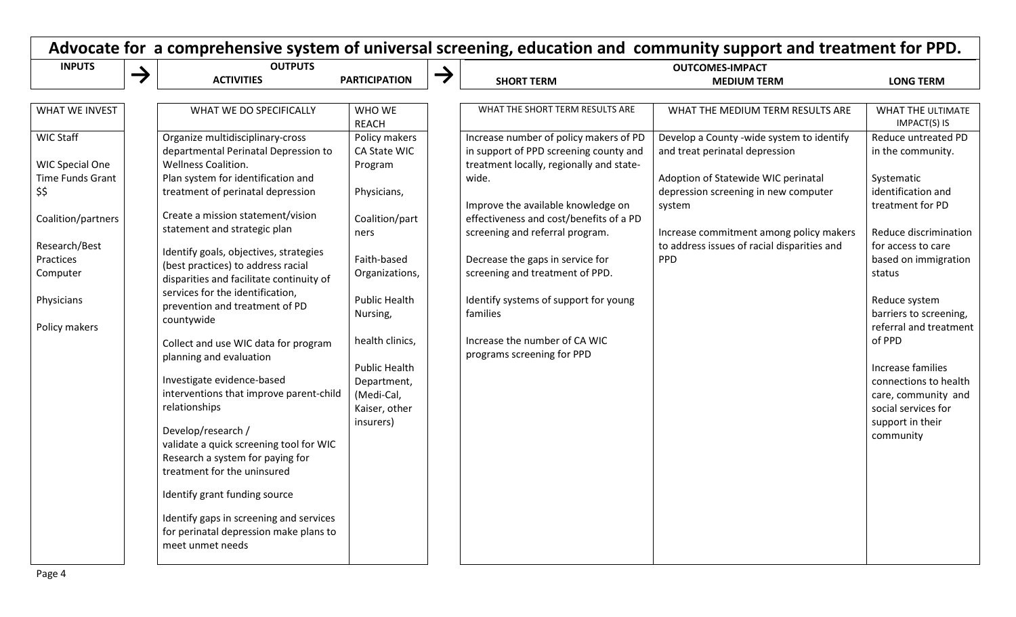| <b>INPUTS</b>                          |               | <b>OUTPUTS</b>                                                                                                                   |                                            |               | <b>OUTCOMES-IMPACT</b>                                                                                                       |                                                                                        |                                                                     |  |
|----------------------------------------|---------------|----------------------------------------------------------------------------------------------------------------------------------|--------------------------------------------|---------------|------------------------------------------------------------------------------------------------------------------------------|----------------------------------------------------------------------------------------|---------------------------------------------------------------------|--|
|                                        | $\rightarrow$ | <b>ACTIVITIES</b>                                                                                                                | <b>PARTICIPATION</b>                       | $\rightarrow$ | <b>SHORT TERM</b>                                                                                                            | <b>MEDIUM TERM</b>                                                                     | <b>LONG TERM</b>                                                    |  |
| <b>WHAT WE INVEST</b>                  |               | WHAT WE DO SPECIFICALLY                                                                                                          | WHO WE<br><b>REACH</b>                     |               | WHAT THE SHORT TERM RESULTS ARE                                                                                              | WHAT THE MEDIUM TERM RESULTS ARE                                                       | <b>WHAT THE ULTIMATE</b><br>IMPACT(S) IS                            |  |
| WIC Staff<br><b>WIC Special One</b>    |               | Organize multidisciplinary-cross<br>departmental Perinatal Depression to<br><b>Wellness Coalition.</b>                           | Policy makers<br>CA State WIC<br>Program   |               | Increase number of policy makers of PD<br>in support of PPD screening county and<br>treatment locally, regionally and state- | Develop a County -wide system to identify<br>and treat perinatal depression            | Reduce untreated PD<br>in the community.                            |  |
| Time Funds Grant<br>\$\$               |               | Plan system for identification and<br>treatment of perinatal depression                                                          | Physicians,                                |               | wide.<br>Improve the available knowledge on                                                                                  | Adoption of Statewide WIC perinatal<br>depression screening in new computer<br>system  | Systematic<br>identification and<br>treatment for PD                |  |
| Coalition/partners                     |               | Create a mission statement/vision<br>statement and strategic plan                                                                | Coalition/part<br>ners                     |               | effectiveness and cost/benefits of a PD<br>screening and referral program.                                                   | Increase commitment among policy makers<br>to address issues of racial disparities and | Reduce discrimination<br>for access to care                         |  |
| Research/Best<br>Practices<br>Computer |               | Identify goals, objectives, strategies<br>(best practices) to address racial<br>disparities and facilitate continuity of         | Faith-based<br>Organizations,              |               | Decrease the gaps in service for<br>screening and treatment of PPD.                                                          | PPD                                                                                    | based on immigration<br>status                                      |  |
| Physicians<br>Policy makers            |               | services for the identification,<br>prevention and treatment of PD<br>countywide                                                 | <b>Public Health</b><br>Nursing,           |               | Identify systems of support for young<br>families                                                                            |                                                                                        | Reduce system<br>barriers to screening,<br>referral and treatment   |  |
|                                        |               | Collect and use WIC data for program<br>planning and evaluation                                                                  | health clinics,<br><b>Public Health</b>    |               | Increase the number of CA WIC<br>programs screening for PPD                                                                  |                                                                                        | of PPD<br>Increase families                                         |  |
|                                        |               | Investigate evidence-based<br>interventions that improve parent-child<br>relationships                                           | Department,<br>(Medi-Cal,<br>Kaiser, other |               |                                                                                                                              |                                                                                        | connections to health<br>care, community and<br>social services for |  |
|                                        |               | Develop/research /<br>validate a quick screening tool for WIC<br>Research a system for paying for<br>treatment for the uninsured | insurers)                                  |               |                                                                                                                              |                                                                                        | support in their<br>community                                       |  |
|                                        |               | Identify grant funding source                                                                                                    |                                            |               |                                                                                                                              |                                                                                        |                                                                     |  |
|                                        |               | Identify gaps in screening and services<br>for perinatal depression make plans to<br>meet unmet needs                            |                                            |               |                                                                                                                              |                                                                                        |                                                                     |  |